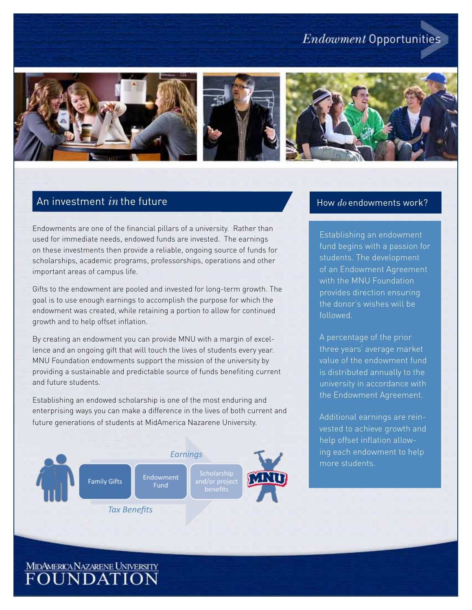# **Endowment Opportunities**







# An investment *in* the future

Endowments are one of the financial pillars of a university. Rather than used for immediate needs, endowed funds are invested. The earnings on these investments then provide a reliable, ongoing source of funds for scholarships, academic programs, professorships, operations and other important areas of campus life.

Gifts to the endowment are pooled and invested for long-term growth. The goal is to use enough earnings to accomplish the purpose for which the endowment was created, while retaining a portion to allow for continued growth and to help offset inflation.

By creating an endowment you can provide MNU with a margin of excellence and an ongoing gift that will touch the lives of students every year. MNU Foundation endowments support the mission of the university by providing a sustainable and predictable source of funds benefiting current and future students.

Establishing an endowed scholarship is one of the most enduring and enterprising ways you can make a difference in the lives of both current and future generations of students at MidAmerica Nazarene University.



#### How *do* endowments work?

Establishing an endowment fund begins with a passion for students. The development of an Endowment Agreement with the MNU Foundation provides direction ensuring the donor's wishes will be followed.

A percentage of the prior three years' average market value of the endowment fund is distributed annually to the university in accordance with the Endowment Agreement.

Additional earnings are reinvested to achieve growth and help offset inflation allowing each endowment to help more students.

MIDAMERICANAZARENE UNIVERSITY